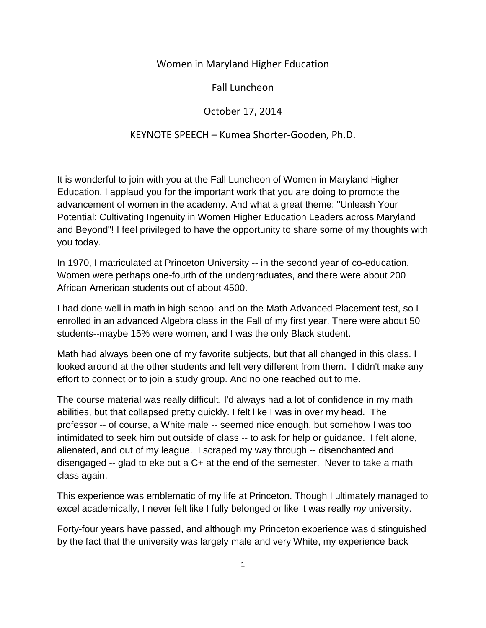## Women in Maryland Higher Education

Fall Luncheon

## October 17, 2014

## KEYNOTE SPEECH – Kumea Shorter-Gooden, Ph.D.

It is wonderful to join with you at the Fall Luncheon of Women in Maryland Higher Education. I applaud you for the important work that you are doing to promote the advancement of women in the academy. And what a great theme: "Unleash Your Potential: Cultivating Ingenuity in Women Higher Education Leaders across Maryland and Beyond"! I feel privileged to have the opportunity to share some of my thoughts with you today.

In 1970, I matriculated at Princeton University -- in the second year of co-education. Women were perhaps one-fourth of the undergraduates, and there were about 200 African American students out of about 4500.

I had done well in math in high school and on the Math Advanced Placement test, so I enrolled in an advanced Algebra class in the Fall of my first year. There were about 50 students--maybe 15% were women, and I was the only Black student.

Math had always been one of my favorite subjects, but that all changed in this class. I looked around at the other students and felt very different from them. I didn't make any effort to connect or to join a study group. And no one reached out to me.

The course material was really difficult. I'd always had a lot of confidence in my math abilities, but that collapsed pretty quickly. I felt like I was in over my head. The professor -- of course, a White male -- seemed nice enough, but somehow I was too intimidated to seek him out outside of class -- to ask for help or guidance. I felt alone, alienated, and out of my league. I scraped my way through -- disenchanted and disengaged -- glad to eke out a C+ at the end of the semester. Never to take a math class again.

This experience was emblematic of my life at Princeton. Though I ultimately managed to excel academically, I never felt like I fully belonged or like it was really *my* university.

Forty-four years have passed, and although my Princeton experience was distinguished by the fact that the university was largely male and very White, my experience back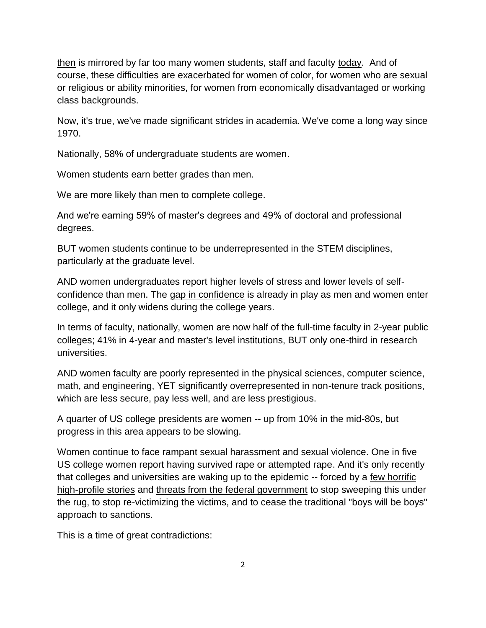then is mirrored by far too many women students, staff and faculty today. And of course, these difficulties are exacerbated for women of color, for women who are sexual or religious or ability minorities, for women from economically disadvantaged or working class backgrounds.

Now, it's true, we've made significant strides in academia. We've come a long way since 1970.

Nationally, 58% of undergraduate students are women.

Women students earn better grades than men.

We are more likely than men to complete college.

And we're earning 59% of master's degrees and 49% of doctoral and professional degrees.

BUT women students continue to be underrepresented in the STEM disciplines, particularly at the graduate level.

AND women undergraduates report higher levels of stress and lower levels of selfconfidence than men. The gap in confidence is already in play as men and women enter college, and it only widens during the college years.

In terms of faculty, nationally, women are now half of the full-time faculty in 2-year public colleges; 41% in 4-year and master's level institutions, BUT only one-third in research universities.

AND women faculty are poorly represented in the physical sciences, computer science, math, and engineering, YET significantly overrepresented in non-tenure track positions, which are less secure, pay less well, and are less prestigious.

A quarter of US college presidents are women -- up from 10% in the mid-80s, but progress in this area appears to be slowing.

Women continue to face rampant sexual harassment and sexual violence. One in five US college women report having survived rape or attempted rape. And it's only recently that colleges and universities are waking up to the epidemic -- forced by a few horrific high-profile stories and threats from the federal government to stop sweeping this under the rug, to stop re-victimizing the victims, and to cease the traditional "boys will be boys" approach to sanctions.

This is a time of great contradictions: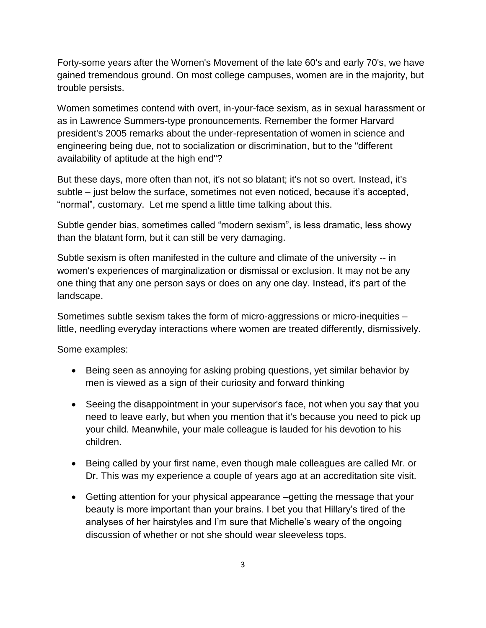Forty-some years after the Women's Movement of the late 60's and early 70's, we have gained tremendous ground. On most college campuses, women are in the majority, but trouble persists.

Women sometimes contend with overt, in-your-face sexism, as in sexual harassment or as in Lawrence Summers-type pronouncements. Remember the former Harvard president's 2005 remarks about the under-representation of women in science and engineering being due, not to socialization or discrimination, but to the "different availability of aptitude at the high end"?

But these days, more often than not, it's not so blatant; it's not so overt. Instead, it's subtle – just below the surface, sometimes not even noticed, because it's accepted, "normal", customary. Let me spend a little time talking about this.

Subtle gender bias, sometimes called "modern sexism", is less dramatic, less showy than the blatant form, but it can still be very damaging.

Subtle sexism is often manifested in the culture and climate of the university -- in women's experiences of marginalization or dismissal or exclusion. It may not be any one thing that any one person says or does on any one day. Instead, it's part of the landscape.

Sometimes subtle sexism takes the form of micro-aggressions or micro-inequities – little, needling everyday interactions where women are treated differently, dismissively.

Some examples:

- Being seen as annoying for asking probing questions, yet similar behavior by men is viewed as a sign of their curiosity and forward thinking
- Seeing the disappointment in your supervisor's face, not when you say that you need to leave early, but when you mention that it's because you need to pick up your child. Meanwhile, your male colleague is lauded for his devotion to his children.
- Being called by your first name, even though male colleagues are called Mr. or Dr. This was my experience a couple of years ago at an accreditation site visit.
- Getting attention for your physical appearance –getting the message that your beauty is more important than your brains. I bet you that Hillary's tired of the analyses of her hairstyles and I'm sure that Michelle's weary of the ongoing discussion of whether or not she should wear sleeveless tops.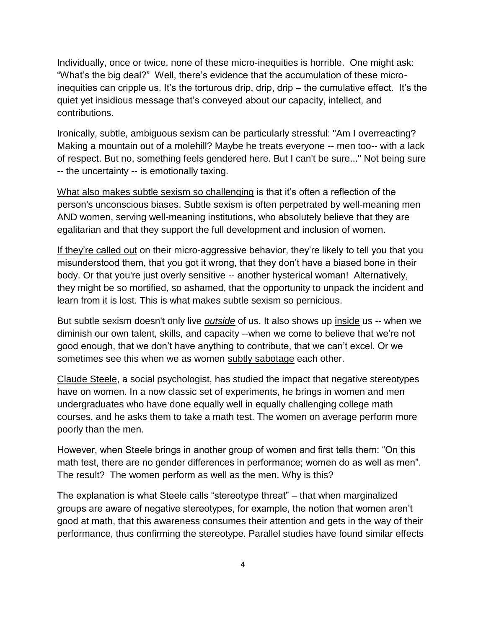Individually, once or twice, none of these micro-inequities is horrible. One might ask: "What's the big deal?" Well, there's evidence that the accumulation of these microinequities can cripple us. It's the torturous drip, drip, drip – the cumulative effect. It's the quiet yet insidious message that's conveyed about our capacity, intellect, and contributions.

Ironically, subtle, ambiguous sexism can be particularly stressful: "Am I overreacting? Making a mountain out of a molehill? Maybe he treats everyone -- men too-- with a lack of respect. But no, something feels gendered here. But I can't be sure..." Not being sure -- the uncertainty -- is emotionally taxing.

What also makes subtle sexism so challenging is that it's often a reflection of the person's unconscious biases. Subtle sexism is often perpetrated by well-meaning men AND women, serving well-meaning institutions, who absolutely believe that they are egalitarian and that they support the full development and inclusion of women.

If they're called out on their micro-aggressive behavior, they're likely to tell you that you misunderstood them, that you got it wrong, that they don't have a biased bone in their body. Or that you're just overly sensitive -- another hysterical woman! Alternatively, they might be so mortified, so ashamed, that the opportunity to unpack the incident and learn from it is lost. This is what makes subtle sexism so pernicious.

But subtle sexism doesn't only live *outside* of us. It also shows up inside us -- when we diminish our own talent, skills, and capacity --when we come to believe that we're not good enough, that we don't have anything to contribute, that we can't excel. Or we sometimes see this when we as women subtly sabotage each other.

Claude Steele, a social psychologist, has studied the impact that negative stereotypes have on women. In a now classic set of experiments, he brings in women and men undergraduates who have done equally well in equally challenging college math courses, and he asks them to take a math test. The women on average perform more poorly than the men.

However, when Steele brings in another group of women and first tells them: "On this math test, there are no gender differences in performance; women do as well as men". The result? The women perform as well as the men. Why is this?

The explanation is what Steele calls "stereotype threat" – that when marginalized groups are aware of negative stereotypes, for example, the notion that women aren't good at math, that this awareness consumes their attention and gets in the way of their performance, thus confirming the stereotype. Parallel studies have found similar effects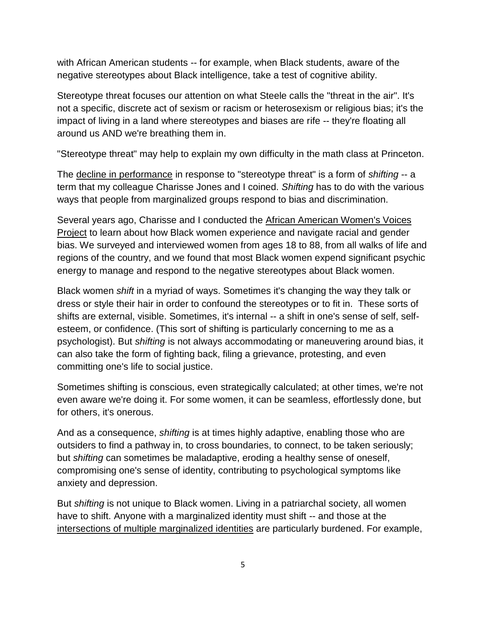with African American students -- for example, when Black students, aware of the negative stereotypes about Black intelligence, take a test of cognitive ability.

Stereotype threat focuses our attention on what Steele calls the "threat in the air". It's not a specific, discrete act of sexism or racism or heterosexism or religious bias; it's the impact of living in a land where stereotypes and biases are rife -- they're floating all around us AND we're breathing them in.

"Stereotype threat" may help to explain my own difficulty in the math class at Princeton.

The decline in performance in response to "stereotype threat" is a form of *shifting* -- a term that my colleague Charisse Jones and I coined. *Shifting* has to do with the various ways that people from marginalized groups respond to bias and discrimination.

Several years ago, Charisse and I conducted the African American Women's Voices Project to learn about how Black women experience and navigate racial and gender bias. We surveyed and interviewed women from ages 18 to 88, from all walks of life and regions of the country, and we found that most Black women expend significant psychic energy to manage and respond to the negative stereotypes about Black women.

Black women *shift* in a myriad of ways. Sometimes it's changing the way they talk or dress or style their hair in order to confound the stereotypes or to fit in. These sorts of shifts are external, visible. Sometimes, it's internal -- a shift in one's sense of self, selfesteem, or confidence. (This sort of shifting is particularly concerning to me as a psychologist). But *shifting* is not always accommodating or maneuvering around bias, it can also take the form of fighting back, filing a grievance, protesting, and even committing one's life to social justice.

Sometimes shifting is conscious, even strategically calculated; at other times, we're not even aware we're doing it. For some women, it can be seamless, effortlessly done, but for others, it's onerous.

And as a consequence, *shifting* is at times highly adaptive, enabling those who are outsiders to find a pathway in, to cross boundaries, to connect, to be taken seriously; but *shifting* can sometimes be maladaptive, eroding a healthy sense of oneself, compromising one's sense of identity, contributing to psychological symptoms like anxiety and depression.

But *shifting* is not unique to Black women. Living in a patriarchal society, all women have to shift. Anyone with a marginalized identity must shift -- and those at the intersections of multiple marginalized identities are particularly burdened. For example,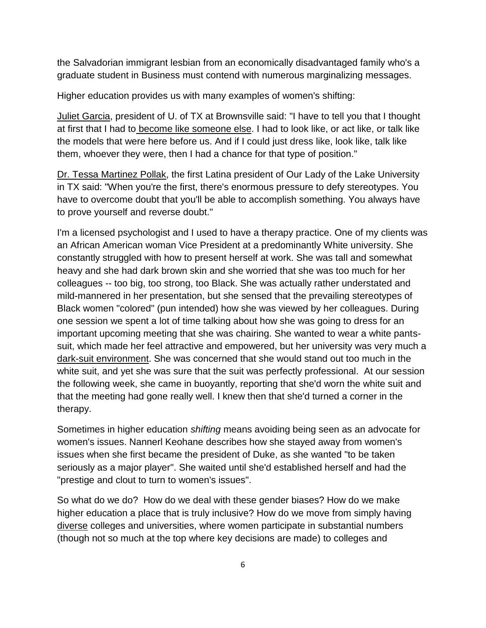the Salvadorian immigrant lesbian from an economically disadvantaged family who's a graduate student in Business must contend with numerous marginalizing messages.

Higher education provides us with many examples of women's shifting:

Juliet Garcia, president of U. of TX at Brownsville said: "I have to tell you that I thought at first that I had to become like someone else. I had to look like, or act like, or talk like the models that were here before us. And if I could just dress like, look like, talk like them, whoever they were, then I had a chance for that type of position."

Dr. Tessa Martinez Pollak, the first Latina president of Our Lady of the Lake University in TX said: "When you're the first, there's enormous pressure to defy stereotypes. You have to overcome doubt that you'll be able to accomplish something. You always have to prove yourself and reverse doubt."

I'm a licensed psychologist and I used to have a therapy practice. One of my clients was an African American woman Vice President at a predominantly White university. She constantly struggled with how to present herself at work. She was tall and somewhat heavy and she had dark brown skin and she worried that she was too much for her colleagues -- too big, too strong, too Black. She was actually rather understated and mild-mannered in her presentation, but she sensed that the prevailing stereotypes of Black women "colored" (pun intended) how she was viewed by her colleagues. During one session we spent a lot of time talking about how she was going to dress for an important upcoming meeting that she was chairing. She wanted to wear a white pantssuit, which made her feel attractive and empowered, but her university was very much a dark-suit environment. She was concerned that she would stand out too much in the white suit, and yet she was sure that the suit was perfectly professional. At our session the following week, she came in buoyantly, reporting that she'd worn the white suit and that the meeting had gone really well. I knew then that she'd turned a corner in the therapy.

Sometimes in higher education *shifting* means avoiding being seen as an advocate for women's issues. Nannerl Keohane describes how she stayed away from women's issues when she first became the president of Duke, as she wanted "to be taken seriously as a major player". She waited until she'd established herself and had the "prestige and clout to turn to women's issues".

So what do we do? How do we deal with these gender biases? How do we make higher education a place that is truly inclusive? How do we move from simply having diverse colleges and universities, where women participate in substantial numbers (though not so much at the top where key decisions are made) to colleges and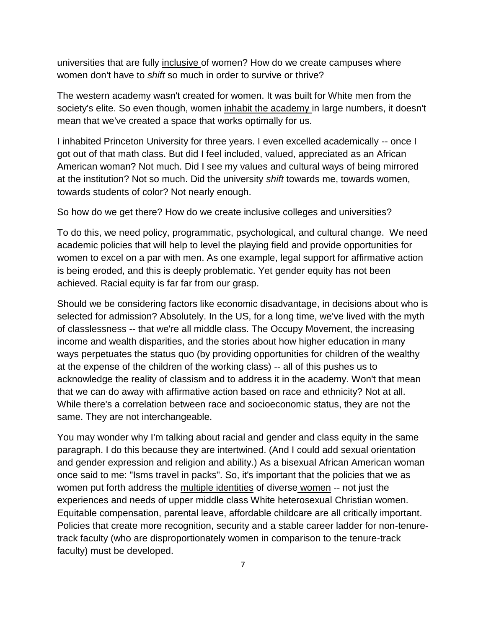universities that are fully inclusive of women? How do we create campuses where women don't have to *shift* so much in order to survive or thrive?

The western academy wasn't created for women. It was built for White men from the society's elite. So even though, women inhabit the academy in large numbers, it doesn't mean that we've created a space that works optimally for us.

I inhabited Princeton University for three years. I even excelled academically -- once I got out of that math class. But did I feel included, valued, appreciated as an African American woman? Not much. Did I see my values and cultural ways of being mirrored at the institution? Not so much. Did the university *shift* towards me, towards women, towards students of color? Not nearly enough.

So how do we get there? How do we create inclusive colleges and universities?

To do this, we need policy, programmatic, psychological, and cultural change. We need academic policies that will help to level the playing field and provide opportunities for women to excel on a par with men. As one example, legal support for affirmative action is being eroded, and this is deeply problematic. Yet gender equity has not been achieved. Racial equity is far far from our grasp.

Should we be considering factors like economic disadvantage, in decisions about who is selected for admission? Absolutely. In the US, for a long time, we've lived with the myth of classlessness -- that we're all middle class. The Occupy Movement, the increasing income and wealth disparities, and the stories about how higher education in many ways perpetuates the status quo (by providing opportunities for children of the wealthy at the expense of the children of the working class) -- all of this pushes us to acknowledge the reality of classism and to address it in the academy. Won't that mean that we can do away with affirmative action based on race and ethnicity? Not at all. While there's a correlation between race and socioeconomic status, they are not the same. They are not interchangeable.

You may wonder why I'm talking about racial and gender and class equity in the same paragraph. I do this because they are intertwined. (And I could add sexual orientation and gender expression and religion and ability.) As a bisexual African American woman once said to me: "Isms travel in packs". So, it's important that the policies that we as women put forth address the multiple identities of diverse women -- not just the experiences and needs of upper middle class White heterosexual Christian women. Equitable compensation, parental leave, affordable childcare are all critically important. Policies that create more recognition, security and a stable career ladder for non-tenuretrack faculty (who are disproportionately women in comparison to the tenure-track faculty) must be developed.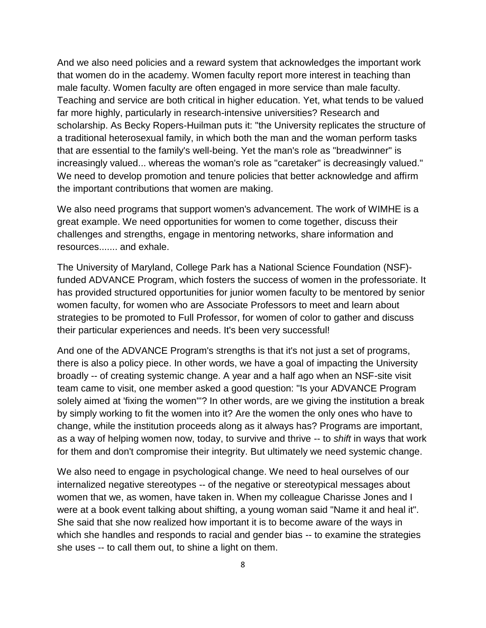And we also need policies and a reward system that acknowledges the important work that women do in the academy. Women faculty report more interest in teaching than male faculty. Women faculty are often engaged in more service than male faculty. Teaching and service are both critical in higher education. Yet, what tends to be valued far more highly, particularly in research-intensive universities? Research and scholarship. As Becky Ropers-Huilman puts it: "the University replicates the structure of a traditional heterosexual family, in which both the man and the woman perform tasks that are essential to the family's well-being. Yet the man's role as "breadwinner" is increasingly valued... whereas the woman's role as "caretaker" is decreasingly valued." We need to develop promotion and tenure policies that better acknowledge and affirm the important contributions that women are making.

We also need programs that support women's advancement. The work of WIMHE is a great example. We need opportunities for women to come together, discuss their challenges and strengths, engage in mentoring networks, share information and resources....... and exhale.

The University of Maryland, College Park has a National Science Foundation (NSF) funded ADVANCE Program, which fosters the success of women in the professoriate. It has provided structured opportunities for junior women faculty to be mentored by senior women faculty, for women who are Associate Professors to meet and learn about strategies to be promoted to Full Professor, for women of color to gather and discuss their particular experiences and needs. It's been very successful!

And one of the ADVANCE Program's strengths is that it's not just a set of programs, there is also a policy piece. In other words, we have a goal of impacting the University broadly -- of creating systemic change. A year and a half ago when an NSF-site visit team came to visit, one member asked a good question: "Is your ADVANCE Program solely aimed at 'fixing the women'"? In other words, are we giving the institution a break by simply working to fit the women into it? Are the women the only ones who have to change, while the institution proceeds along as it always has? Programs are important, as a way of helping women now, today, to survive and thrive -- to *shift* in ways that work for them and don't compromise their integrity. But ultimately we need systemic change.

We also need to engage in psychological change. We need to heal ourselves of our internalized negative stereotypes -- of the negative or stereotypical messages about women that we, as women, have taken in. When my colleague Charisse Jones and I were at a book event talking about shifting, a young woman said "Name it and heal it". She said that she now realized how important it is to become aware of the ways in which she handles and responds to racial and gender bias -- to examine the strategies she uses -- to call them out, to shine a light on them.